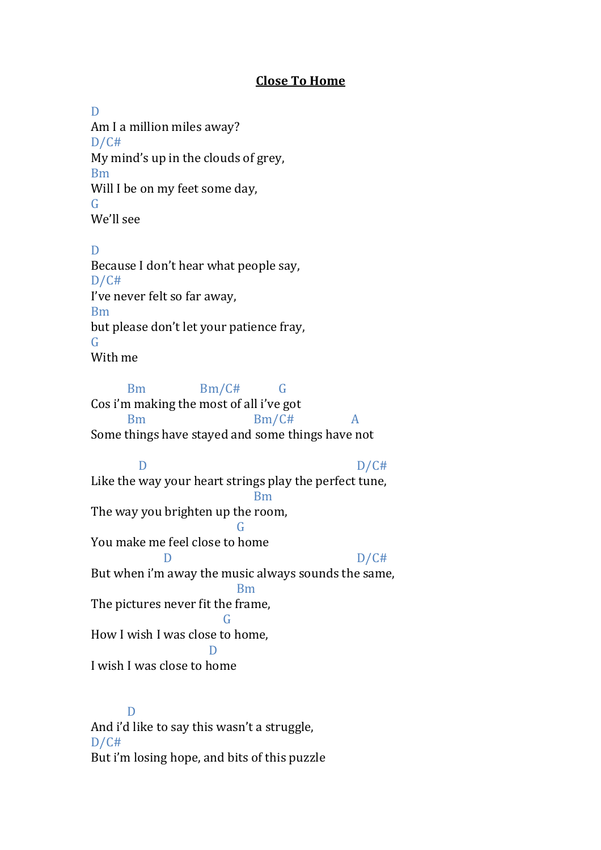## **Close To Home**

D Am I a million miles away?  $D/C#$ My mind's up in the clouds of grey, Bm Will I be on my feet some day, G We'll see

D Because I don't hear what people say,  $D/C#$ I've never felt so far away, Bm but please don't let your patience fray, G With me

Bm Bm/C# G Cos i'm making the most of all i've got Bm Bm/C# A Some things have stayed and some things have not

D D/C# Like the way your heart strings play the perfect tune, Bm The way you brighten up the room, G You make me feel close to home  $D/C#$ But when i'm away the music always sounds the same, Bm The pictures never fit the frame, G How I wish I was close to home, D I wish I was close to home

D And i'd like to say this wasn't a struggle, D/C# But i'm losing hope, and bits of this puzzle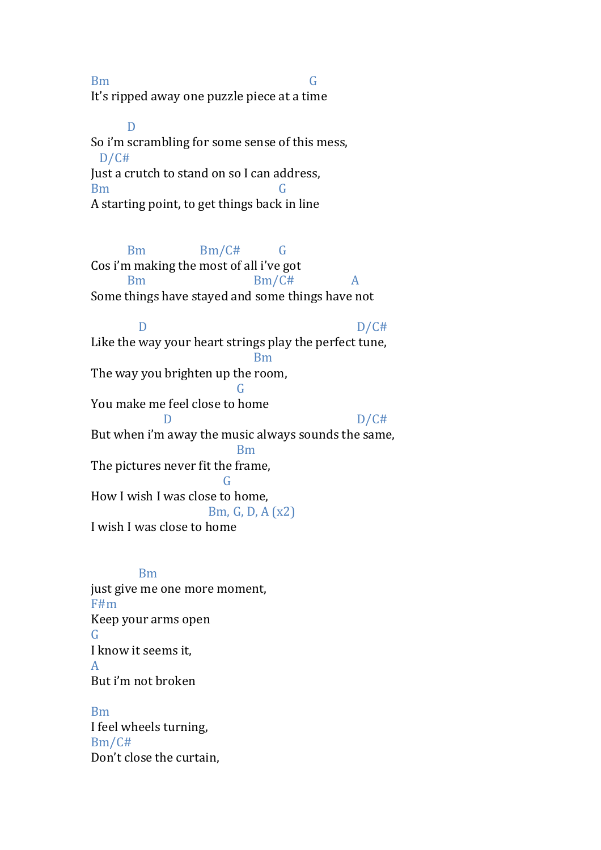Bm G It's ripped away one puzzle piece at a time

D So i'm scrambling for some sense of this mess, D/C# Just a crutch to stand on so I can address, Bm G A starting point, to get things back in line

Bm Bm/C# G Cos i'm making the most of all i've got Bm Bm/C# A Some things have stayed and some things have not D D/C# Like the way your heart strings play the perfect tune, Bm The way you brighten up the room, G You make me feel close to home D D/C# But when i'm away the music always sounds the same, Bm The pictures never fit the frame, G How I wish I was close to home, Bm, G, D, A (x2) I wish I was close to home

## Bm just give me one more moment, F#m Keep your arms open G I know it seems it, A But i'm not broken

Bm I feel wheels turning, Bm/C# Don't close the curtain,